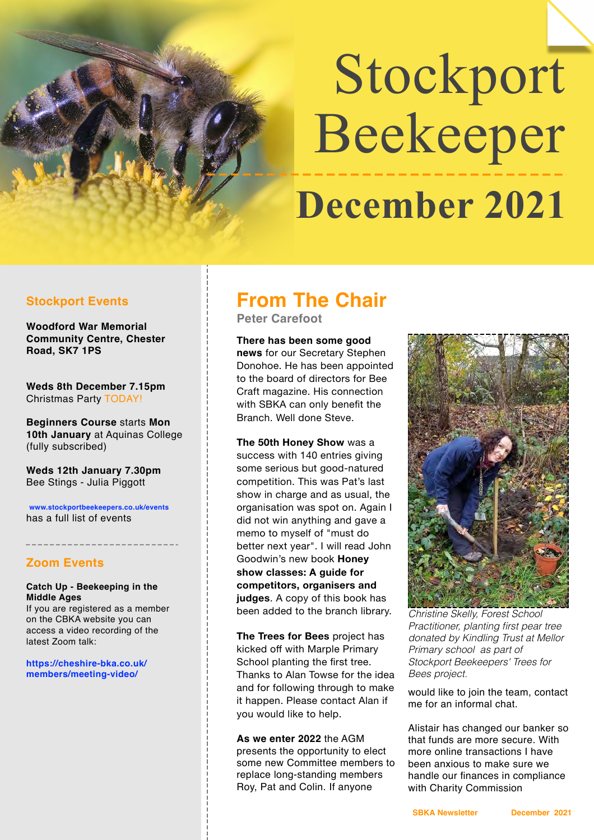# Stockport Beekeeper  **December 2021**

#### **Stockport Events**

**Woodford War Memorial Community Centre, Chester Road, SK7 1PS** 

**Weds 8th December 7.15pm** Christmas Party TODAY!

**Beginners Course** starts **Mon 10th January** at Aquinas College (fully subscribed)

**Weds 12th January 7.30pm** Bee Stings - Julia Piggott

**www.stockportbeekeepers.co.uk/events** has a full list of events

#### **Zoom Events**

**Catch Up - Beekeeping in the Middle Ages**

If you are registered as a member on the CBKA website you can access a video recording of the latest Zoom talk:

**https://cheshire-bka.co.uk/ members/meeting-video/**

## **From The Chair**

**Peter Carefoot** 

**There has been some good news** for our Secretary Stephen Donohoe. He has been appointed to the board of directors for Bee Craft magazine. His connection with SBKA can only benefit the Branch. Well done Steve.

**The 50th Honey Show** was a success with 140 entries giving some serious but good-natured competition. This was Pat's last show in charge and as usual, the organisation was spot on. Again I did not win anything and gave a memo to myself of "must do better next year". I will read John Goodwin's new book **Honey show classes: A guide for competitors, organisers and judges**. A copy of this book has been added to the branch library.

**The Trees for Bees** project has kicked off with Marple Primary School planting the first tree. Thanks to Alan Towse for the idea and for following through to make it happen. Please contact Alan if you would like to help.

**As we enter 2022** the AGM presents the opportunity to elect some new Committee members to replace long-standing members Roy, Pat and Colin. If anyone



*Christine Skelly, Forest School Practitioner, planting first pear tree donated by Kindling Trust at Mellor Primary school as part of Stockport Beekeepers' Trees for Bees project.*

would like to join the team, contact me for an informal chat.

Alistair has changed our banker so that funds are more secure. With more online transactions I have been anxious to make sure we handle our finances in compliance with Charity Commission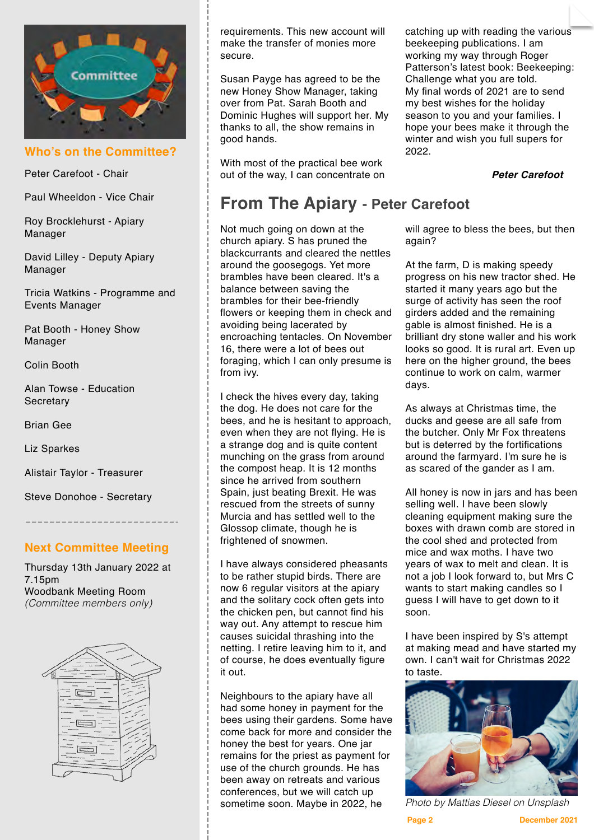

**Who's on the Committee?**

Peter Carefoot - Chair

Paul Wheeldon - Vice Chair

Roy Brocklehurst - Apiary Manager

David Lilley - Deputy Apiary Manager

Tricia Watkins - Programme and Events Manager

Pat Booth - Honey Show Manager

Colin Booth

Alan Towse - Education **Secretary** 

Brian Gee

Liz Sparkes

Alistair Taylor - Treasurer

Steve Donohoe - Secretary

#### **Next Committee Meeting**

Thursday 13th January 2022 at 7.15pm Woodbank Meeting Room *(Committee members only)*



requirements. This new account will make the transfer of monies more secure.

Susan Payge has agreed to be the new Honey Show Manager, taking over from Pat. Sarah Booth and Dominic Hughes will support her. My thanks to all, the show remains in good hands.

With most of the practical bee work out of the way, I can concentrate on

### **From The Apiary - Peter Carefoot**

Not much going on down at the church apiary. S has pruned the blackcurrants and cleared the nettles around the goosegogs. Yet more brambles have been cleared. It's a balance between saving the brambles for their bee-friendly flowers or keeping them in check and avoiding being lacerated by encroaching tentacles. On November 16, there were a lot of bees out foraging, which I can only presume is from ivy.

I check the hives every day, taking the dog. He does not care for the bees, and he is hesitant to approach, even when they are not flying. He is a strange dog and is quite content munching on the grass from around the compost heap. It is 12 months since he arrived from southern Spain, just beating Brexit. He was rescued from the streets of sunny Murcia and has settled well to the Glossop climate, though he is frightened of snowmen.

I have always considered pheasants to be rather stupid birds. There are now 6 regular visitors at the apiary and the solitary cock often gets into the chicken pen, but cannot find his way out. Any attempt to rescue him causes suicidal thrashing into the netting. I retire leaving him to it, and of course, he does eventually figure it out.

Neighbours to the apiary have all had some honey in payment for the bees using their gardens. Some have come back for more and consider the honey the best for years. One jar remains for the priest as payment for use of the church grounds. He has been away on retreats and various conferences, but we will catch up sometime soon. Maybe in 2022, he

catching up with reading the various beekeeping publications. I am working my way through Roger Patterson's latest book: Beekeeping: Challenge what you are told. My final words of 2021 are to send my best wishes for the holiday season to you and your families. I hope your bees make it through the winter and wish you full supers for 2022.

*Peter Carefoot*

will agree to bless the bees, but then again?

At the farm, D is making speedy progress on his new tractor shed. He started it many years ago but the surge of activity has seen the roof girders added and the remaining gable is almost finished. He is a brilliant dry stone waller and his work looks so good. It is rural art. Even up here on the higher ground, the bees continue to work on calm, warmer days.

As always at Christmas time, the ducks and geese are all safe from the butcher. Only Mr Fox threatens but is deterred by the fortifications around the farmyard. I'm sure he is as scared of the gander as I am.

All honey is now in jars and has been selling well. I have been slowly cleaning equipment making sure the boxes with drawn comb are stored in the cool shed and protected from mice and wax moths. I have two years of wax to melt and clean. It is not a job I look forward to, but Mrs C wants to start making candles so I guess I will have to get down to it soon.

I have been inspired by S's attempt at making mead and have started my own. I can't wait for Christmas 2022 to taste.



*Photo by Mattias Diesel on Unsplash*